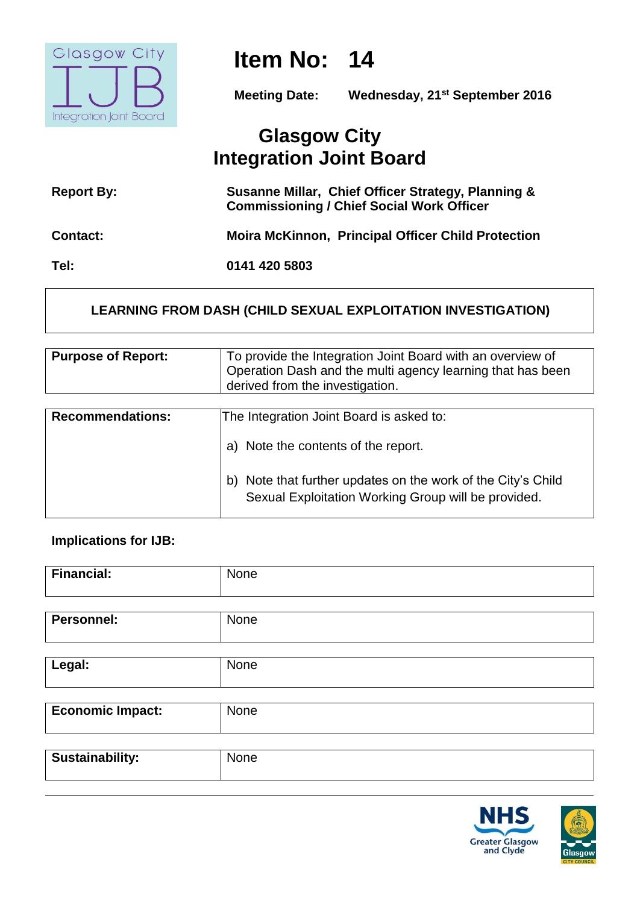

# **Item No: 14**

**Meeting Date: Wednesday, 21st September 2016**

# **Glasgow City Integration Joint Board**

| <b>Report By:</b> | Susanne Millar, Chief Officer Strategy, Planning &<br><b>Commissioning / Chief Social Work Officer</b> |
|-------------------|--------------------------------------------------------------------------------------------------------|
| <b>Contact:</b>   | <b>Moira McKinnon, Principal Officer Child Protection</b>                                              |
| Tel:              | 0141 420 5803                                                                                          |

# **LEARNING FROM DASH (CHILD SEXUAL EXPLOITATION INVESTIGATION)**

| <b>Purpose of Report:</b> | To provide the Integration Joint Board with an overview of<br>Operation Dash and the multi agency learning that has been<br>derived from the investigation. |
|---------------------------|-------------------------------------------------------------------------------------------------------------------------------------------------------------|
| <b>Recommendations:</b>   | The Integration Joint Board is asked to:<br>Note the contents of the report.<br>a)                                                                          |
|                           | Note that further updates on the work of the City's Child<br>b)<br>Sexual Exploitation Working Group will be provided.                                      |

### **Implications for IJB:**

| <b>Financial:</b> | None |
|-------------------|------|
|                   |      |
| <b>Personnel:</b> | None |
|                   |      |
| Legal:            | None |
|                   |      |
| Economic Impact:  | None |

| <b>Sustainability:</b> | None |
|------------------------|------|
|                        |      |



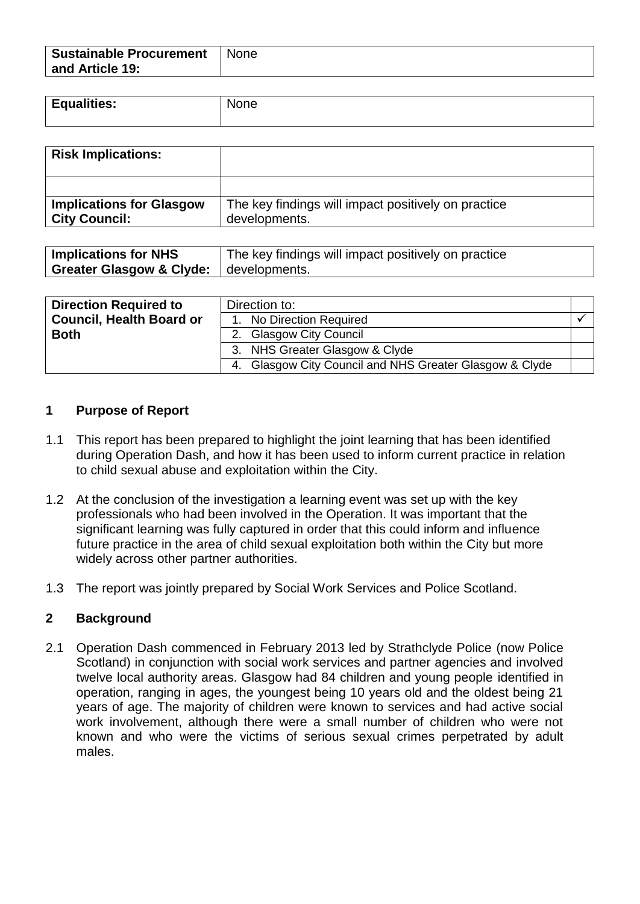| <b>Sustainable Procurement</b> | None |
|--------------------------------|------|
| and Article 19:                |      |

| <b>Equalities:</b> | None |
|--------------------|------|
|                    |      |

| <b>Risk Implications:</b>                               |                                                                      |
|---------------------------------------------------------|----------------------------------------------------------------------|
|                                                         |                                                                      |
| <b>Implications for Glasgow</b><br><b>City Council:</b> | The key findings will impact positively on practice<br>developments. |

| <b>Implications for NHS</b>                       | The key findings will impact positively on practice |
|---------------------------------------------------|-----------------------------------------------------|
| <b>Greater Glasgow &amp; Clyde:</b> developments. |                                                     |

| <b>Direction Required to</b>    | Direction to:                                                         |  |
|---------------------------------|-----------------------------------------------------------------------|--|
| <b>Council, Health Board or</b> | 1. No Direction Required                                              |  |
| <b>Both</b>                     | <b>Glasgow City Council</b>                                           |  |
|                                 | 3. NHS Greater Glasgow & Clyde                                        |  |
|                                 | <b>Glasgow City Council and NHS Greater Glasgow &amp; Clyde</b><br>4. |  |

#### **1 Purpose of Report**

- 1.1 This report has been prepared to highlight the joint learning that has been identified during Operation Dash, and how it has been used to inform current practice in relation to child sexual abuse and exploitation within the City.
- 1.2 At the conclusion of the investigation a learning event was set up with the key professionals who had been involved in the Operation. It was important that the significant learning was fully captured in order that this could inform and influence future practice in the area of child sexual exploitation both within the City but more widely across other partner authorities.
- 1.3 The report was jointly prepared by Social Work Services and Police Scotland.

#### **2 Background**

2.1 Operation Dash commenced in February 2013 led by Strathclyde Police (now Police Scotland) in conjunction with social work services and partner agencies and involved twelve local authority areas. Glasgow had 84 children and young people identified in operation, ranging in ages, the youngest being 10 years old and the oldest being 21 years of age. The majority of children were known to services and had active social work involvement, although there were a small number of children who were not known and who were the victims of serious sexual crimes perpetrated by adult males.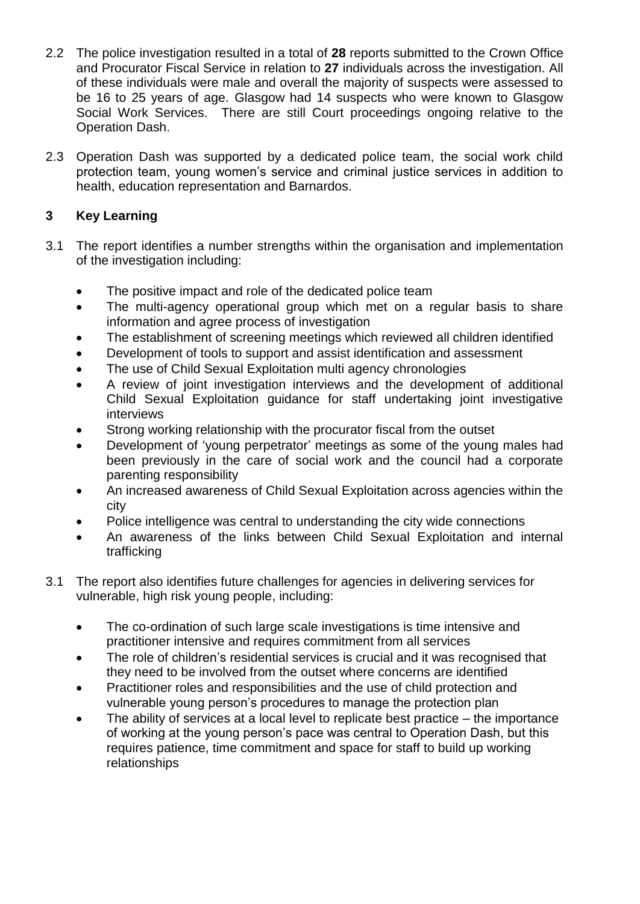- 2.2 The police investigation resulted in a total of **28** reports submitted to the Crown Office and Procurator Fiscal Service in relation to **27** individuals across the investigation. All of these individuals were male and overall the majority of suspects were assessed to be 16 to 25 years of age. Glasgow had 14 suspects who were known to Glasgow Social Work Services. There are still Court proceedings ongoing relative to the Operation Dash.
- 2.3 Operation Dash was supported by a dedicated police team, the social work child protection team, young women's service and criminal justice services in addition to health, education representation and Barnardos.

# **3 Key Learning**

- 3.1 The report identifies a number strengths within the organisation and implementation of the investigation including:
	- The positive impact and role of the dedicated police team
	- The multi-agency operational group which met on a regular basis to share information and agree process of investigation
	- The establishment of screening meetings which reviewed all children identified
	- Development of tools to support and assist identification and assessment
	- The use of Child Sexual Exploitation multi agency chronologies
	- A review of joint investigation interviews and the development of additional Child Sexual Exploitation guidance for staff undertaking joint investigative interviews
	- Strong working relationship with the procurator fiscal from the outset
	- Development of 'young perpetrator' meetings as some of the young males had been previously in the care of social work and the council had a corporate parenting responsibility
	- An increased awareness of Child Sexual Exploitation across agencies within the city
	- Police intelligence was central to understanding the city wide connections
	- An awareness of the links between Child Sexual Exploitation and internal trafficking
- 3.1 The report also identifies future challenges for agencies in delivering services for vulnerable, high risk young people, including:
	- The co-ordination of such large scale investigations is time intensive and practitioner intensive and requires commitment from all services
	- The role of children's residential services is crucial and it was recognised that they need to be involved from the outset where concerns are identified
	- Practitioner roles and responsibilities and the use of child protection and vulnerable young person's procedures to manage the protection plan
	- The ability of services at a local level to replicate best practice the importance of working at the young person's pace was central to Operation Dash, but this requires patience, time commitment and space for staff to build up working relationships